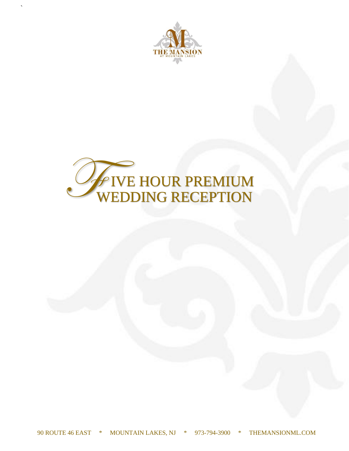

`

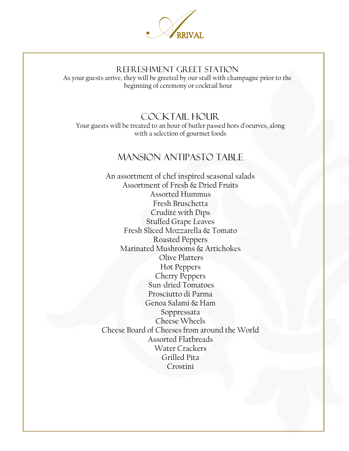

## REFRESHMENT GREET STATION

As your guests arrive, they will be greeted by our staff with champagne prior to the beginning of ceremony or cocktail hour

## COCKTAIL HOUR

Your guests will be treated to an hour of butler passed hors d'oeurves, along with a selection of gourmet foods

## MANSION ANTIPASTO TABLE

An assortment of chef inspired seasonal salads Assortment of Fresh & Dried Fruits Assorted Hummus Fresh Bruschetta Crudité with Dips Stuffed Grape Leaves Fresh Sliced Mozzarella & Tomato Roasted Peppers Marinated Mushrooms & Artichokes Olive Platters Hot Peppers Cherry Peppers Sun-dried Tomatoes Prosciutto di Parma Genoa Salami & Ham Soppressata Cheese Wheels Cheese Board of Cheeses from around the World Assorted Flatbreads Water Crackers Grilled Pita Crostini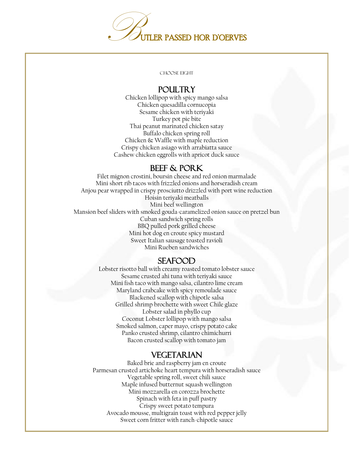

CHOOSE EIGHT

### **POULTRY**

Chicken lollipop with spicy mango salsa Chicken quesadilla cornucopia Sesame chicken with teriyaki Turkey pot pie bite Thai peanut marinated chicken satay Buffalo chicken spring roll Chicken & Waffle with maple reduction Crispy chicken asiago with arrabiatta sauce Cashew chicken eggrolls with apricot duck sauce

### BEEF & PORK

Filet mignon crostini, boursin cheese and red onion marmalade Mini short rib tacos with frizzled onions and horseradish cream Anjou pear wrapped in crispy prosciutto drizzled with port wine reduction Hoisin teriyaki meatballs Mini beef wellington Mansion beef sliders with smoked gouda-caramelized onion sauce on pretzel bun Cuban sandwich spring rolls BBQ pulled pork grilled cheese Mini hot dog en croute spicy mustard Sweet Italian sausage toasted ravioli Mini Rueben sandwiches

### SEAFOOD

Lobster risotto ball with creamy roasted tomato lobster sauce Sesame crusted ahi tuna with teriyaki sauce Mini fish taco with mango salsa, cilantro lime cream Maryland crabcake with spicy remoulade sauce Blackened scallop with chipotle salsa Grilled shrimp brochette with sweet Chile glaze Lobster salad in phyllo cup Coconut Lobster lollipop with mango salsa Smoked salmon, caper mayo, crispy potato cake Panko crusted shrimp, cilantro chimichurri Bacon crusted scallop with tomato jam

### VEGETARIAN

Baked brie and raspberry jam en croute Parmesan crusted artichoke heart tempura with horseradish sauce Vegetable spring roll, sweet chili sauce Maple infused butternut squash wellington Mini mozzarella en corozza brochette Spinach with feta in puff pastry Crispy sweet potato tempura Avocado mousse, multigrain toast with red pepper jelly Sweet corn fritter with ranch-chipotle sauce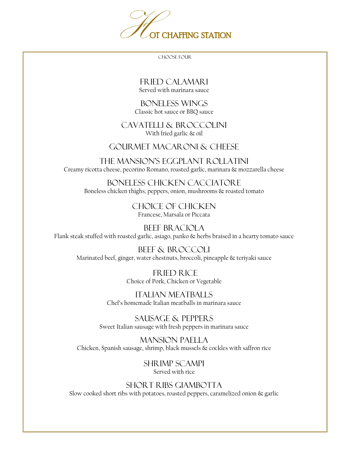

CHOOSE FOUR

FRIED CALAMARI Served with marinara sauce

BONELESS WINGS Classic hot sauce or BBQ sauce

CAVATELLI & BROCCOLINI With fried garlic & oil

### GOURMET MACARONI & CHEESE

THE MANSION'S EGGPLANT ROLLATINI Creamy ricotta cheese, pecorino Romano, roasted garlic, marinara & mozzarella cheese

BONELESS CHICKEN CACCIATORE Boneless chicken thighs, peppers, onion, mushrooms & roasted tomato

> CHOICE OF CHICKEN Francese, Marsala or Piccata

BEEF BRACIOLA Flank steak stuffed with roasted garlic, asiago, panko & herbs braised in a hearty tomato sauce

BEEF & BROCCOLI Marinated beef, ginger, water chestnuts, broccoli, pineapple & teriyaki sauce

> FRIED RICE Choice of Pork, Chicken or Vegetable

ITALIAN MEATBALLS Chef's homemade Italian meatballs in marinara sauce

SAUSAGE & PEPPERS Sweet Italian sausage with fresh peppers in marinara sauce

MANSION PAELLA Chicken, Spanish sausage, shrimp, black mussels & cockles with saffron rice

> SHRIMP SCAMPI Served with rice

SHORT RIBS GIAMBOTTA Slow cooked short ribs with potatoes, roasted peppers, caramelized onion & garlic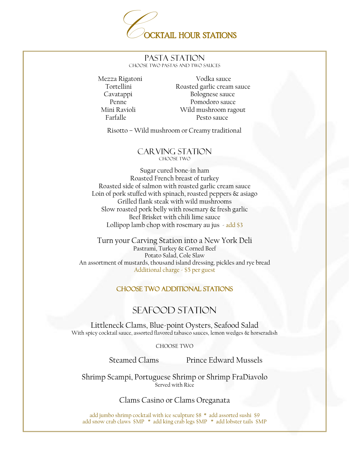

#### PASTA STATION CHOOSE TWO PASTAS AND TWO SAUCES

 Mezza Rigatoni Vodka sauce Tortellini Roasted garlic cream sauce Cavatappi Bolognese sauce Penne Pomodoro sauce Mini Ravioli Wild mushroom ragout Farfalle Pesto sauce

Risotto – Wild mushroom or Creamy traditional

#### CARVING STATION CHOOSE TWO

Sugar cured bone-in ham Roasted French breast of turkey Roasted side of salmon with roasted garlic cream sauce Loin of pork stuffed with spinach, roasted peppers & asiago Grilled flank steak with wild mushrooms Slow roasted pork belly with rosemary & fresh garlic Beef Brisket with chili lime sauce Lollipop lamb chop with rosemary au jus  $-$  add \$3

Turn your Carving Station into a New York Deli Pastrami, Turkey & Corned Beef Potato Salad, Cole Slaw An assortment of mustards, thousand island dressing, pickles and rye bread Additional charge - \$5 per guest

#### CHOOSE TWO ADDITIONAL STATIONS

## SEAFOOD STATION

Littleneck Clams, Blue-point Oysters, Seafood Salad With spicy cocktail sauce, assorted flavored tabasco sauces, lemon wedges & horseradish

#### CHOOSE TWO

Steamed Clams Prince Edward Mussels

Shrimp Scampi, Portuguese Shrimp or Shrimp FraDiavolo Served with Rice

#### Clams Casino or Clams Oreganata

add jumbo shrimp cocktail with ice sculpture \$8 \* add assorted sushi \$9 add snow crab claws \$MP \* add king crab legs \$MP \* add lobster tails \$MP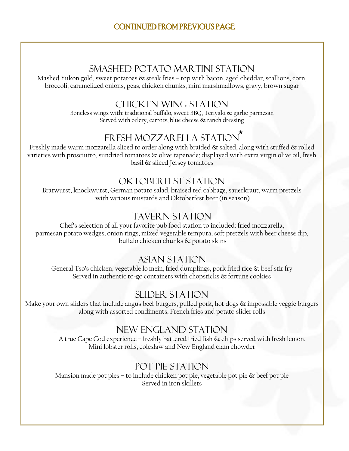## CONTINUED FROM PREVIOUS PAGE

## SMASHED POTATO MARTINI STATION

Mashed Yukon gold, sweet potatoes & steak fries - top with bacon, aged cheddar, scallions, corn, broccoli, caramelized onions, peas, chicken chunks, mini marshmallows, gravy, brown sugar

## CHICKEN WING STATION

Boneless wings with: traditional buffalo, sweet BBQ, Teriyaki & garlic parmesan Served with celery, carrots, blue cheese & ranch dressing

# FRESH MOZZARELLA STATION

Freshly made warm mozzarella sliced to order along with braided & salted, along with stuffed & rolled varieties with prosciutto, sundried tomatoes & olive tapenade; displayed with extra virgin olive oil, fresh basil & sliced Jersey tomatoes

## OKTOBERFEST STATION

Bratwurst, knockwurst, German potato salad, braised red cabbage, sauerkraut, warm pretzels with various mustards and Oktoberfest beer (in season)

## TAVERN STATION

Chef's selection of all your favorite pub food station to included: fried mozzarella, parmesan potato wedges, onion rings, mixed vegetable tempura, soft pretzels with beer cheese dip, buffalo chicken chunks & potato skins

### ASIAN STATION

General Tso's chicken, vegetable lo mein, fried dumplings, pork fried rice & beef stir fry Served in authentic to-go containers with chopsticks & fortune cookies

## SLIDER STATION

Make your own sliders that include angus beef burgers, pulled pork, hot dogs & impossible veggie burgers along with assorted condiments, French fries and potato slider rolls

## NEW ENGLAND STATION

A true Cape Cod experience – freshly battered fried fish & chips served with fresh lemon, Mini lobster rolls, coleslaw and New England clam chowder

# POT PIE STATION

Mansion made pot pies – to include chicken pot pie, vegetable pot pie & beef pot pie Served in iron skillets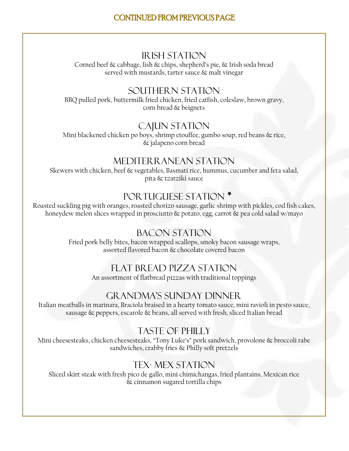## IRISH STATION

Corned beef & cabbage, fish & chips, shepherd's pie, & Irish soda bread served with mustards, tarter sauce & malt vinegar

## SOUTHERN STATION

BBQ pulled pork, buttermilk fried chicken, fried catfish, coleslaw, brown gravy, corn bread & beignets

## CAJUN STATION

Mini blackened chicken po boys, shrimp etouffee, gumbo soup, red beans & rice, & jalapeno corn bread

## MEDITERRANEAN STATION

Skewers with chicken, beef & vegetables, Basmati rice, hummus, cucumber and feta salad, pita & tzatziki sauce

# PORTUGUESE STATION<sup>\*</sup>

Roasted suckling pig with oranges, roasted chorizo sausage, garlic shrimp with pickles, cod fish cakes, honeydew melon slices wrapped in prosciutto  $\&$  potato, egg, carrot  $\&$  pea cold salad w/mayo

## BACON STATION

Fried pork belly bites, bacon wrapped scallops, smoky bacon sausage wraps, assorted flavored bacon & chocolate covered bacon

### FLAT BREAD PIZZA STATION

An assortment of flatbread pizzas with traditional toppings

### GRANDMA'S SUNDAY DINNER

Italian meatballs in marinara, Braciola braised in a hearty tomato sauce, mini ravioli in pesto sauce, sausage & peppers, escarole & beans, all served with fresh, sliced Italian bread

### Taste of philly

Mini cheesesteaks, chicken cheesesteaks, "Tony Luke's" pork sandwich, provolone & broccoli rabe sandwiches, crabby fries & Philly soft pretzels

## Tex- Mex Station

Sliced skirt steak with fresh pico de gallo, mini chimichangas, fried plantains, Mexican rice & cinnamon sugared tortilla chips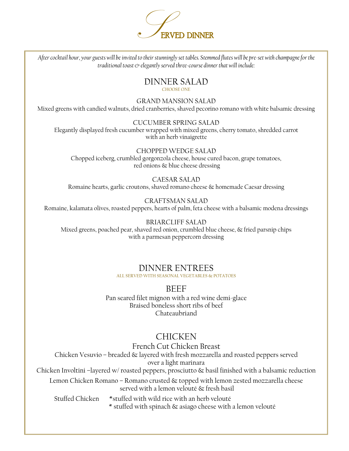

*After cocktail hour, your guests will be invited to their stunningly set tables. Stemmed flutes will be pre-set with champagne for the traditional toast & elegantly served three-course dinner that will include:*

#### DINNER SALAD CHOOSE ONE

GRAND MANSION SALAD Mixed greens with candied walnuts, dried cranberries, shaved pecorino romano with white balsamic dressing

CUCUMBER SPRING SALAD Elegantly displayed fresh cucumber wrapped with mixed greens, cherry tomato, shredded carrot with an herb vinaigrette

CHOPPED WEDGE SALAD Chopped iceberg, crumbled gorgonzola cheese, house cured bacon, grape tomatoes, red onions & blue cheese dressing

CAESAR SALAD Romaine hearts, garlic croutons, shaved romano cheese & homemade Caesar dressing

#### CRAFTSMAN SALAD Romaine, kalamata olives, roasted peppers, hearts of palm, feta cheese with a balsamic modena dressings

BRIARCLIFF SALAD Mixed greens, poached pear, shaved red onion, crumbled blue cheese, & fried parsnip chips with a parmesan peppercorn dressing

# DINNER ENTREES

ALL SERVED WITH SEASONAL VEGETABLES & POTATOES

**BEEF** 

Pan seared filet mignon with a red wine demi-glace Braised boneless short ribs of beef Chateaubriand

# **CHICKEN**

French Cut Chicken Breast Chicken Vesuvio – breaded & layered with fresh mozzarella and roasted peppers served over a light marinara Chicken Involtini –layered w/ roasted peppers, prosciutto & basil finished with a balsamic reduction Lemon Chicken Romano – Romano crusted & topped with lemon zested mozzarella cheese served with a lemon velouté & fresh basil Stuffed Chicken \*stuffed with wild rice with an herb velouté \* stuffed with spinach & asiago cheese with a lemon velouté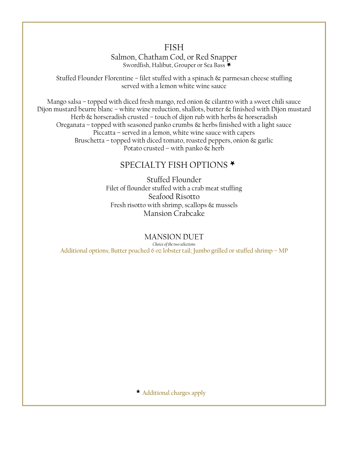### FISH

Salmon, Chatham Cod, or Red Snapper Swordfish, Halibut, Grouper or Sea Bass

Stuffed Flounder Florentine – filet stuffed with a spinach & parmesan cheese stuffing served with a lemon white wine sauce

Mango salsa – topped with diced fresh mango, red onion & cilantro with a sweet chili sauce Dijon mustard beurre blanc – white wine reduction, shallots, butter & finished with Dijon mustard Herb  $\&$  horseradish crusted – touch of dijon rub with herbs  $\&$  horseradish Oreganata – topped with seasoned panko crumbs  $\&$  herbs finished with a light sauce Piccatta – served in a lemon, white wine sauce with capers Bruschetta – topped with diced tomato, roasted peppers, onion  $\&$  garlic Potato crusted – with panko & herb

## SPECIALTY FISH OPTIONS<sup>\*</sup>

Stuffed Flounder Filet of flounder stuffed with a crab meat stuffing Seafood Risotto Fresh risotto with shrimp, scallops & mussels Mansion Crabcake

MANSION DUET *Choice of the two selections* Additional options; Butter poached 6 oz lobster tail; Jumbo grilled or stuffed shrimp – MP

Additional charges apply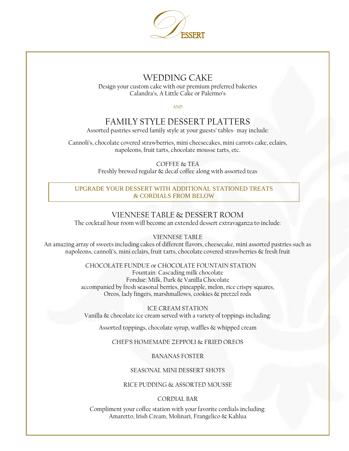

### WEDDING CAKE

Design your custom cake with our premium preferred bakeries Calandra's, A Little Cake or Palermo's

AND

## FAMILY STYLE DESSERT PLATTERS

Assorted pastries served family style at your guests' tables- may include:

Cannoli's, chocolate covered strawberries, mini cheesecakes, mini carrots cake, eclairs, napoleons, fruit tarts, chocolate mousse tarts, etc.

> COFFEE & TEA Freshly brewed regular & decaf coffee along with assorted teas

UPGRADE YOUR DESSERT WITH ADDITIONAL STATIONED TREATS & CORDIALS FROM BELOW

#### VIENNESE TABLE & DESSERT ROOM

The cocktail hour room will become an extended dessert extravaganza to include:

VIENNESE TABLE

An amazing array of sweets including cakes of different flavors, cheesecake, mini assorted pastries such as napoleons, cannoli's, mini eclairs, fruit tarts, chocolate covered strawberries & fresh fruit

#### CHOCOLATE FUNDUE or CHOCOLATE FOUNTAIN STATION

Fountain: Cascading milk chocolate Fondue: Milk, Dark & Vanilla Chocolate accompanied by fresh seasonal berries, pineapple, melon, rice crispy squares, Oreos, lady fingers, marshmallows, cookies & pretzel rods

ICE CREAM STATION Vanilla & chocolate ice cream served with a variety of toppings including:

Assorted toppings, chocolate syrup, waffles & whipped cream

#### CHEF'S HOMEMADE ZEPPOLI & FRIED OREOS

#### BANANAS FOSTER

#### SEASONAL MINI DESSERT SHOTS

#### RICE PUDDING & ASSORTED MOUSSE

#### CORDIAL BAR

Compliment your coffee station with your favorite cordials including: Amaretto, Irish Cream, Molinari, Frangelico & Kahlua